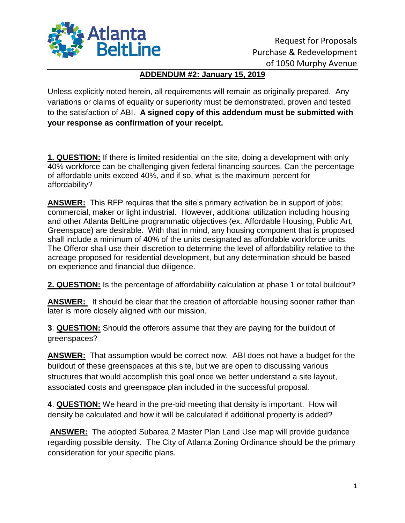

## **ADDENDUM #2: January 15, 2019**

Unless explicitly noted herein, all requirements will remain as originally prepared. Any variations or claims of equality or superiority must be demonstrated, proven and tested to the satisfaction of ABI. **A signed copy of this addendum must be submitted with your response as confirmation of your receipt.**

**1. QUESTION:** If there is limited residential on the site, doing a development with only 40% workforce can be challenging given federal financing sources. Can the percentage of affordable units exceed 40%, and if so, what is the maximum percent for affordability?

**ANSWER:** This RFP requires that the site's primary activation be in support of jobs; commercial, maker or light industrial. However, additional utilization including housing and other Atlanta BeltLine programmatic objectives (ex. Affordable Housing, Public Art, Greenspace) are desirable. With that in mind, any housing component that is proposed shall include a minimum of 40% of the units designated as affordable workforce units. The Offeror shall use their discretion to determine the level of affordability relative to the acreage proposed for residential development, but any determination should be based on experience and financial due diligence.

**2. QUESTION:** Is the percentage of affordability calculation at phase 1 or total buildout?

**ANSWER:** It should be clear that the creation of affordable housing sooner rather than later is more closely aligned with our mission.

**3**. **QUESTION:** Should the offerors assume that they are paying for the buildout of greenspaces?

**ANSWER:** That assumption would be correct now. ABI does not have a budget for the buildout of these greenspaces at this site, but we are open to discussing various structures that would accomplish this goal once we better understand a site layout, associated costs and greenspace plan included in the successful proposal.

**4**. **QUESTION:** We heard in the pre-bid meeting that density is important. How will density be calculated and how it will be calculated if additional property is added?

**ANSWER:** The adopted Subarea 2 Master Plan Land Use map will provide guidance regarding possible density. The City of Atlanta Zoning Ordinance should be the primary consideration for your specific plans.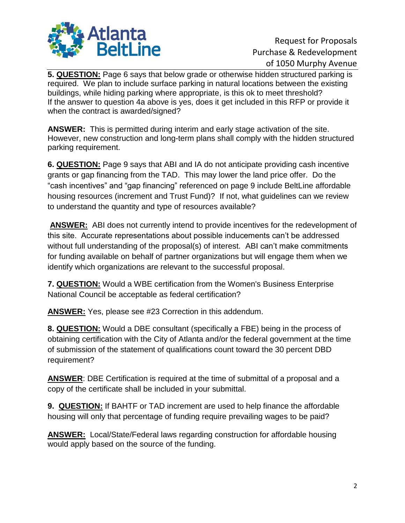

**5. QUESTION:** Page 6 says that below grade or otherwise hidden structured parking is required. We plan to include surface parking in natural locations between the existing buildings, while hiding parking where appropriate, is this ok to meet threshold? If the answer to question 4a above is yes, does it get included in this RFP or provide it when the contract is awarded/signed?

**ANSWER:** This is permitted during interim and early stage activation of the site. However, new construction and long-term plans shall comply with the hidden structured parking requirement.

**6. QUESTION:** Page 9 says that ABI and IA do not anticipate providing cash incentive grants or gap financing from the TAD. This may lower the land price offer. Do the "cash incentives" and "gap financing" referenced on page 9 include BeltLine affordable housing resources (increment and Trust Fund)? If not, what guidelines can we review to understand the quantity and type of resources available?

**ANSWER:** ABI does not currently intend to provide incentives for the redevelopment of this site. Accurate representations about possible inducements can't be addressed without full understanding of the proposal(s) of interest. ABI can't make commitments for funding available on behalf of partner organizations but will engage them when we identify which organizations are relevant to the successful proposal.

**7. QUESTION:** Would a WBE certification from the Women's Business Enterprise National Council be acceptable as federal certification?

**ANSWER:** Yes, please see #23 Correction in this addendum.

**8. QUESTION:** Would a DBE consultant (specifically a FBE) being in the process of obtaining certification with the City of Atlanta and/or the federal government at the time of submission of the statement of qualifications count toward the 30 percent DBD requirement?

**ANSWER**: DBE Certification is required at the time of submittal of a proposal and a copy of the certificate shall be included in your submittal.

**9. QUESTION:** If BAHTF or TAD increment are used to help finance the affordable housing will only that percentage of funding require prevailing wages to be paid?

**ANSWER:** Local/State/Federal laws regarding construction for affordable housing would apply based on the source of the funding.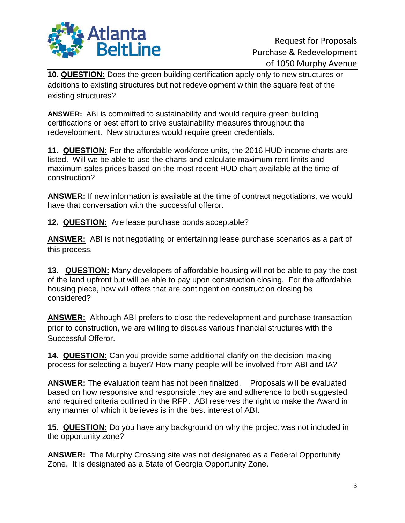

**10. QUESTION:** Does the green building certification apply only to new structures or additions to existing structures but not redevelopment within the square feet of the existing structures?

**ANSWER:** ABI is committed to sustainability and would require green building certifications or best effort to drive sustainability measures throughout the redevelopment. New structures would require green credentials.

**11. QUESTION:** For the affordable workforce units, the 2016 HUD income charts are listed. Will we be able to use the charts and calculate maximum rent limits and maximum sales prices based on the most recent HUD chart available at the time of construction?

**ANSWER:** If new information is available at the time of contract negotiations, we would have that conversation with the successful offeror.

**12. QUESTION:** Are lease purchase bonds acceptable?

**ANSWER:** ABI is not negotiating or entertaining lease purchase scenarios as a part of this process.

**13. QUESTION:** Many developers of affordable housing will not be able to pay the cost of the land upfront but will be able to pay upon construction closing. For the affordable housing piece, how will offers that are contingent on construction closing be considered?

**ANSWER:** Although ABI prefers to close the redevelopment and purchase transaction prior to construction, we are willing to discuss various financial structures with the Successful Offeror.

**14. QUESTION:** Can you provide some additional clarify on the decision-making process for selecting a buyer? How many people will be involved from ABI and IA?

**ANSWER:** The evaluation team has not been finalized. Proposals will be evaluated based on how responsive and responsible they are and adherence to both suggested and required criteria outlined in the RFP. ABI reserves the right to make the Award in any manner of which it believes is in the best interest of ABI.

**15. QUESTION:** Do you have any background on why the project was not included in the opportunity zone?

**ANSWER:** The Murphy Crossing site was not designated as a Federal Opportunity Zone. It is designated as a State of Georgia Opportunity Zone.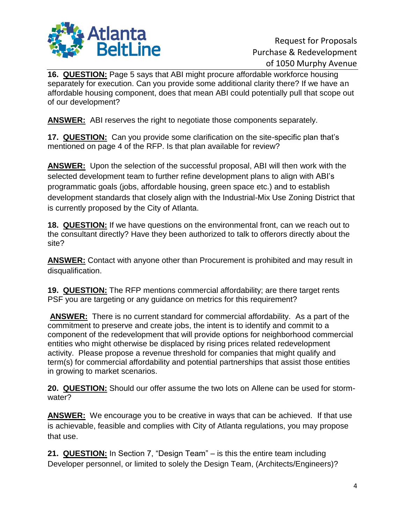

**16. QUESTION:** Page 5 says that ABI might procure affordable workforce housing separately for execution. Can you provide some additional clarity there? If we have an affordable housing component, does that mean ABI could potentially pull that scope out of our development?

**ANSWER:** ABI reserves the right to negotiate those components separately.

**17. QUESTION:** Can you provide some clarification on the site-specific plan that's mentioned on page 4 of the RFP. Is that plan available for review?

**ANSWER:** Upon the selection of the successful proposal, ABI will then work with the selected development team to further refine development plans to align with ABI's programmatic goals (jobs, affordable housing, green space etc.) and to establish development standards that closely align with the Industrial-Mix Use Zoning District that is currently proposed by the City of Atlanta.

**18. QUESTION:** If we have questions on the environmental front, can we reach out to the consultant directly? Have they been authorized to talk to offerors directly about the site?

**ANSWER:** Contact with anyone other than Procurement is prohibited and may result in disqualification.

**19. QUESTION:** The RFP mentions commercial affordability; are there target rents PSF you are targeting or any guidance on metrics for this requirement?

**ANSWER:** There is no current standard for commercial affordability. As a part of the commitment to preserve and create jobs, the intent is to identify and commit to a component of the redevelopment that will provide options for neighborhood commercial entities who might otherwise be displaced by rising prices related redevelopment activity. Please propose a revenue threshold for companies that might qualify and term(s) for commercial affordability and potential partnerships that assist those entities in growing to market scenarios.

**20. QUESTION:** Should our offer assume the two lots on Allene can be used for stormwater?

**ANSWER:** We encourage you to be creative in ways that can be achieved. If that use is achievable, feasible and complies with City of Atlanta regulations, you may propose that use.

**21. QUESTION:** In Section 7, "Design Team" – is this the entire team including Developer personnel, or limited to solely the Design Team, (Architects/Engineers)?